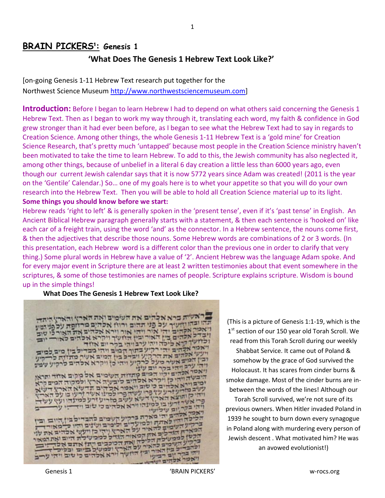# **BRAIN PICKERS¹: Genesis 1**

## **'What Does The Genesis 1 Hebrew Text Look Like?'**

[on-going Genesis 1-11 Hebrew Text research put together for the Northwest Science Museum [http://www.northwestsciencemuseum.com\]](http://www.northwestsciencemuseum.com/)

**Introduction:** Before I began to learn Hebrew I had to depend on what others said concerning the Genesis 1 Hebrew Text. Then as I began to work my way through it, translating each word, my faith & confidence in God grew stronger than it had ever been before, as I began to see what the Hebrew Text had to say in regards to Creation Science. Among other things, the whole Genesis 1-11 Hebrew Text is a 'gold mine' for Creation Science Research, that's pretty much 'untapped' because most people in the Creation Science ministry haven't been motivated to take the time to learn Hebrew. To add to this, the Jewish community has also neglected it, among other things, because of unbelief in a literal 6 day creation a little less than 6000 years ago, even though our current Jewish calendar says that it is now 5772 years since Adam was created! (2011 is the year on the 'Gentile' Calendar.) So… one of my goals here is to whet your appetite so that you will do your own research into the Hebrew Text. Then you will be able to hold all Creation Science material up to its light. **Some things you should know before we start:**

Hebrew reads 'right to left' & is generally spoken in the 'present tense', even if it's 'past tense' in English. An Ancient Biblical Hebrew paragraph generally starts with a statement, & then each sentence is 'hooked on' like each car of a freight train, using the word 'and' as the connector. In a Hebrew sentence, the nouns come first, & then the adjectives that describe those nouns. Some Hebrew words are combinations of 2 or 3 words. (In this presentation, each Hebrew word is a different color than the previous one in order to clarify that very thing.) Some plural words in Hebrew have a value of '2'. Ancient Hebrew was the language Adam spoke. And for every major event in Scripture there are at least 2 written testimonies about that event somewhere in the scriptures, & some of those testimonies are names of people. Scripture explains scripture. Wisdom is bound up in the simple things!

### **What Does The Genesis 1 Hebrew Text Look Like?**

'העיה ברא אלהים את השמים ואת הארץ והארץ היתה.<br>ובהודייה על הע בהוקושיך על פני תהום ורווז אלהים מרזופת על פני הטון אקהים יהי אור ויהי אור וירא אלהים את האורלו שוב כ אלהים בין האור ובין היז עיך ויקרא אכהים לאור-<br>שד רבע הראשונות ובין היז עיך ויקרא אכהים לאור-ך קרא ליכה ויהי ערבויהי בקר יום אזור אקהים יהי רקיע בתוך המים ויהי מבדיל בין מים למים אלהים את הרג "ע ויבדל בין המים אשר מתז יד כו מים אעיר מעל לרקיע ויהי כן ויקרא אלהים לרקיע עי ב ויהי בקר יום עיני ויאסר אלהים יר ו אסר אלהים יקון המום מתחות העימום אל מקום אחד ותראן<br>היבעה וזהן כן ויקרא אלהים ליבעיה ארץ ולמקור המים קרא ימובוייא אכדום כיבושה ארץ ולמקוד המים קרא<br>עשב מדיע זרע עץ פרו עשה פרו למדום תדשא הארץ דשא<br>וידי ק ותיצא הארץ דשא עשב מזרוע זרע כינועו בו על הארץ<br>פרו אשר זרעו בו למונהו וורא אלהים כי טוב וודי וועץ עשה עובו למונהו וורא אלהים כי שוב וידי זי 2437 מארה ברקיע השמים להבדיל בין היום ובי ת ולמועדים ולימים ושנים והיו כ "מאוו להאיר על הארץ ויהי כן ויעש אלהים את<br>פאת קטאור הארץ ויהי כן ויעש אלהים את<br>פאת קטאור הגדל למכשלת היום ואז אי פ אחז הכיאור הגדל למכשלת היום ואת ה<br>יק הלילה ואת הגדל למכשלת היום ואת ה כה ואת הכוכבים ייתן אתם אלו מים להאור על האת הכוכבים ויתן אחם א<br>מן האור ומין קל הארץ ולמשיל ברום וכלו

(This is a picture of Genesis 1:1-19, which is the 1<sup>st</sup> section of our 150 year old Torah Scroll. We read from this Torah Scroll during our weekly Shabbat Service. It came out of Poland & somehow by the grace of God survived the Holocaust. It has scares from cinder burns & smoke damage. Most of the cinder burns are inbetween the words of the lines! Although our

Torah Scroll survived, we're not sure of its previous owners. When Hitler invaded Poland in 1939 he sought to burn down every synagogue in Poland along with murdering every person of Jewish descent . What motivated him? He was an avowed evolutionist!)

ר יום רביטי ויאמר אלהים ישרא

וירא אלהים כי שוב ויהי עי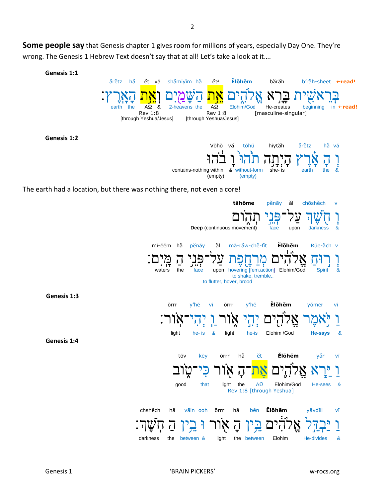Some people say that Genesis chapter 1 gives room for millions of years, especially Day One. They're wrong. The Genesis 1 Hebrew Text doesn't say that at all! Let's take a look at it....

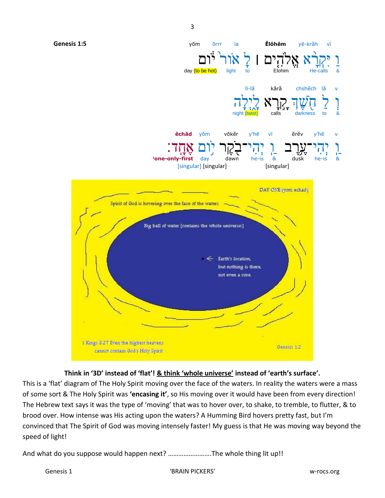

### **Think in '3D' instead of 'flat'! & think 'whole universe' instead of 'earth's surface'.**

This is a 'flat' diagram of The Holy Spirit moving over the face of the waters. In reality the waters were a mass of some sort & The Holy Spirit was **'encasing it'**, so His moving over it would have been from every direction! The Hebrew text says it was the type of 'moving' that was to hover over, to shake, to tremble, to flutter, & to brood over. How intense was His acting upon the waters? A Humming Bird hovers pretty fast, but I'm convinced that The Spirit of God was moving intensely faster! My guess is that He was moving way beyond the speed of light!

And what do you suppose would happen next? …………………….The whole thing lit up!!

Genesis 1 No. 2012 12:30 No. 2013 12:30 No. 2014 12:30 No. 2014 12:30 No. 2014 12:30 No. 2014 12:30 No. 2014 1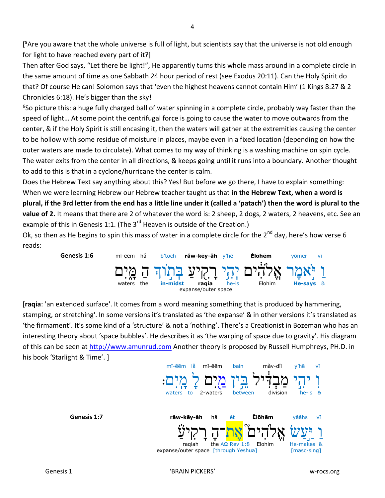[<sup>5</sup>Are you aware that the whole universe is full of light, but scientists say that the universe is not old enough for light to have reached every part of it?]

Then after God says, "Let there be light!", He apparently turns this whole mass around in a complete circle in the same amount of time as one Sabbath 24 hour period of rest (see Exodus 20:11). Can the Holy Spirit do that? Of course He can! Solomon says that 'even the highest heavens cannot contain Him' (1 Kings 8:27 & 2 Chronicles 6:18). He's bigger than the sky!

⁶So picture this: a huge fully charged ball of water spinning in a complete circle, probably way faster than the speed of light… At some point the centrifugal force is going to cause the water to move outwards from the center, & if the Holy Spirit is still encasing it, then the waters will gather at the extremities causing the center to be hollow with some residue of moisture in places, maybe even in a fixed location (depending on how the outer waters are made to circulate). What comes to my way of thinking is a washing machine on spin cycle. The water exits from the center in all directions, & keeps going until it runs into a boundary. Another thought to add to this is that in a cyclone/hurricane the center is calm.

Does the Hebrew Text say anything about this? Yes! But before we go there, I have to explain something: When we were learning Hebrew our Hebrew teacher taught us that **in the Hebrew Text, when a word is plural, if the 3rd letter from the end has a little line under it (called a 'patach') then the word is plural to the value of 2.** It means that there are 2 of whatever the word is: 2 sheep, 2 dogs, 2 waters, 2 heavens, etc. See an example of this in Genesis 1:1. (The 3<sup>rd</sup> Heaven is outside of the Creation.)

Ok, so then as He begins to spin this mass of water in a complete circle for the  $2^{nd}$  day, here's how verse 6 reads:



[**raqia**: 'an extended surface'. It comes from a word meaning something that is produced by hammering, stamping, or stretching'. In some versions it's translated as 'the expanse' & in other versions it's translated as 'the firmament'. It's some kind of a 'structure' & not a 'nothing'. There's a Creationist in Bozeman who has an interesting theory about 'space bubbles'. He describes it as 'the warping of space due to gravity'. His diagram of this can be seen at [http://www.amunrud.com](http://www.amunrud.com/) Another theory is proposed by Russell Humphreys, PH.D. in his book 'Starlight & Time'. ]

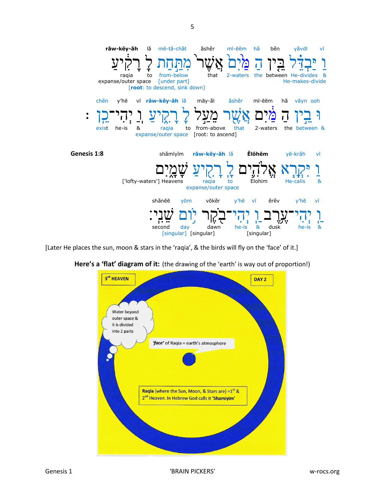

 $\sqrt{5}$ 

[Later He places the sun, moon & stars in the 'raqia', & the birds will fly on the 'face' of it.]



Here's a 'flat' diagram of it: (the drawing of the 'earth' is way out of proportion!)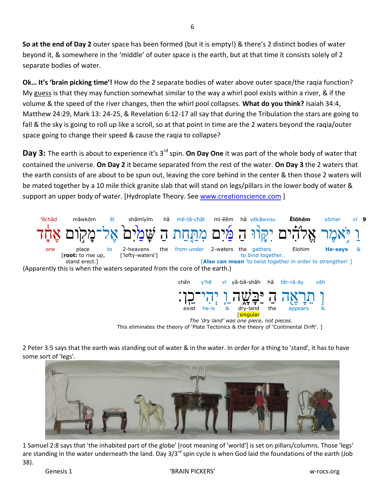So at the end of Day 2 outer space has been formed (but it is empty!) & there's 2 distinct bodies of water beyond it, & somewhere in the 'middle' of outer space is the earth, but at that time it consists solely of 2 separate bodies of water.

Ok... It's 'brain picking time'! How do the 2 separate bodies of water above outer space/the raqia function? My guess is that they may function somewhat similar to the way a whirl pool exists within a river, & if the volume & the speed of the river changes, then the whirl pool collapses. What do you think? Isaiah 34:4, Matthew 24:29, Mark 13: 24-25, & Revelation 6:12-17 all say that during the Tribulation the stars are going to fall & the sky is going to roll up like a scroll, so at that point in time are the 2 waters beyond the ragia/outer space going to change their speed & cause the ragia to collapse?

**Day 3:** The earth is about to experience it's 3<sup>rd</sup> spin. On Day One it was part of the whole body of water that contained the universe. On Day 2 it became separated from the rest of the water. On Day 3 the 2 waters that the earth consists of are about to be spun out, leaving the core behind in the center & then those 2 waters will be mated together by a 10 mile thick granite slab that will stand on legs/pillars in the lower body of water & support an upper body of water. [Hydroplate Theory. See www.creationscience.com]



The 'dry land' was one piece, not pieces. This eliminates the theory of 'Plate Tectonics & the theory of 'Continental Drift'. ]

[singular

2 Peter 3:5 says that the earth was standing out of water & in the water. In order for a thing to 'stand', it has to have some sort of 'legs'.



1 Samuel 2:8 says that 'the inhabited part of the globe' [root meaning of 'world'] is set on pillars/columns. Those 'legs' are standing in the water underneath the land. Day  $3/3^{rd}$  spin cycle is when God laid the foundations of the earth (Job  $38$ ).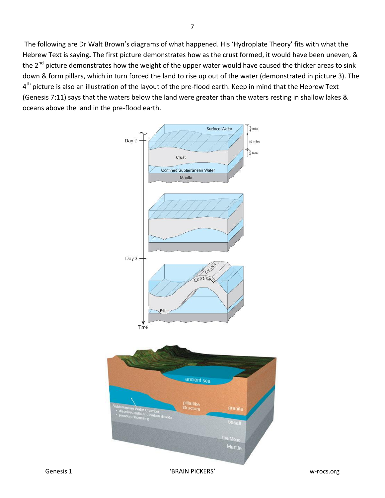The following are Dr Walt Brown's diagrams of what happened. His 'Hydroplate Theory' fits with what the Hebrew Text is saying**.** The first picture demonstrates how as the crust formed, it would have been uneven, & the 2<sup>nd</sup> picture demonstrates how the weight of the upper water would have caused the thicker areas to sink down & form pillars, which in turn forced the land to rise up out of the water (demonstrated in picture 3). The 4<sup>th</sup> picture is also an illustration of the layout of the pre-flood earth. Keep in mind that the Hebrew Text (Genesis 7:11) says that the waters below the land were greater than the waters resting in shallow lakes & oceans above the land in the pre-flood earth.

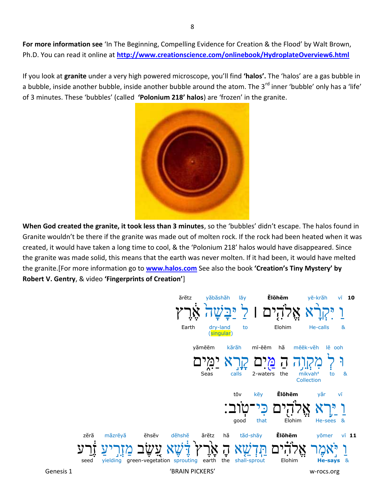For more information see 'In The Beginning, Compelling Evidence for Creation & the Flood' by Walt Brown, Ph.D. You can read it online at http://www.creationscience.com/onlinebook/HydroplateOverview6.html

If you look at granite under a very high powered microscope, you'll find 'halos'. The 'halos' are a gas bubble in a bubble, inside another bubble, inside another bubble around the atom. The 3<sup>rd</sup> inner 'bubble' only has a 'life' of 3 minutes. These 'bubbles' (called 'Polonium 218' halos) are 'frozen' in the granite.



When God created the granite, it took less than 3 minutes, so the 'bubbles' didn't escape. The halos found in Granite wouldn't be there if the granite was made out of molten rock. If the rock had been heated when it was created, it would have taken a long time to cool, & the 'Polonium 218' halos would have disappeared. Since the granite was made solid, this means that the earth was never molten. If it had been, it would have melted the granite. [For more information go to **www.halos.com** See also the book 'Creation's Tiny Mystery' by Robert V. Gentry, & video 'Fingerprints of Creation']

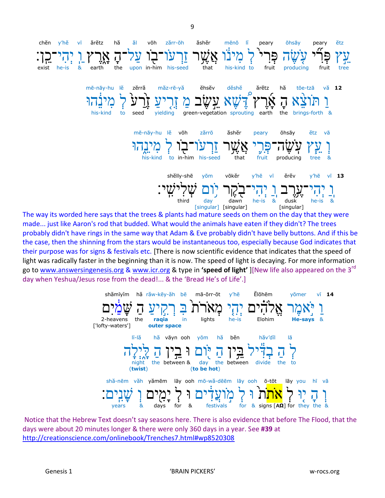\n The 
$$
y
$$
 is a  $y$  is a  $y$  is a  $y$  is a  $y$  is a  $y$  is a  $y$  is a  $y$  is a  $y$  is a  $y$  is a  $y$  is a  $y$  is a  $y$  is a  $y$  is a  $y$  is a  $y$  is a  $y$  is a  $y$  is a  $y$  is a  $y$  is a  $y$  is a  $y$  is a  $y$  is a  $y$  is a  $y$  is a  $y$  is a  $y$  is a  $y$  is a  $y$  is a  $y$  is a  $y$  is a  $y$  is a  $y$  is a  $y$  is a  $y$  is a  $y$  is a  $y$  is a  $y$  is a  $y$  is a  $y$  is a  $y$  is a  $y$  is a  $y$  is a  $y$  is a  $y$  is a  $y$  is a  $y$  is a  $y$  is a  $y$  is a  $y$  is a  $y$  is a  $y$  is a  $y$  is a  $y$  is a  $y$  is a  $y$  is a  $y$  is a  $y$  is a  $y$  is a  $y$  is a  $y$  is a  $y$  is a  $y$  is a  $y$  is a  $y$  is a  $y$  is a  $y$  is a  $y$  is a  $y$  is a  $y$  is a  $y$  is a  $y$  is a  $y$  is a  $y$  is a  $y$  is a  $y$  is a  $y$  is a  $y$  is a  $y$  is a  $y$  is a  $y$  is a  $y$  is a  $y$  is a  $y$  is a  $y$  is a  $y$  is a  $y$  is a  $y$  is a  $y$  is a  $y$  is a  $y$  is a  $y$  is a  $y$  is a  $y$  is a  $y$  is a

 $\mathbf{q}$ 

The way its worded here says that the trees & plants had mature seeds on them on the day that they were made... just like Aaron's rod that budded. What would the animals have eaten if they didn't? The trees probably didn't have rings in the same way that Adam & Eve probably didn't have belly buttons. And if this be the case, then the shinning from the stars would be instantaneous too, especially because God indicates that their purpose was for signs & festivals etc. [There is now scientific evidence that indicates that the speed of light was radically faster in the beginning than it is now. The speed of light is decaying. For more information go to www.answersingenesis.org & www.icr.org & type in 'speed of light' |[New life also appeared on the 3<sup>rd</sup> day when Yeshua/Jesus rose from the dead!... & the 'Bread He's of Life'.]

\n Shămiyim ha răv-kēy-ăh bē mā-ōrr-ōt y'hē Elohēm yōmer vi 14  
\n D'
$$
\sum_{i=1}^{n} \sum_{i=1}^{n} \sum_{j=1}^{n} \binom{n}{i} \binom{n}{j} \binom{n}{j} \binom{n}{j} \binom{n}{j} \binom{n}{j} \binom{n}{j} \binom{n}{j} \binom{n}{j} \binom{n}{j} \binom{n}{j} \binom{n}{j} \binom{n}{j} \binom{n}{j} \binom{n}{j} \binom{n}{j} \binom{n}{j} \binom{n}{j} \binom{n}{j} \binom{n}{j} \binom{n}{j} \binom{n}{j} \binom{n}{j} \binom{n}{j} \binom{n}{j} \binom{n}{j} \binom{n}{j} \binom{n}{j} \binom{n}{j} \binom{n}{j} \binom{n}{j} \binom{n}{j} \binom{n}{j} \binom{n}{j} \binom{n}{j} \binom{n}{j} \binom{n}{j} \binom{n}{j} \binom{n}{j} \binom{n}{j} \binom{n}{j} \binom{n}{j} \binom{n}{j} \binom{n}{j} \binom{n}{j} \binom{n}{j} \binom{n}{j} \binom{n}{j} \binom{n}{j} \binom{n}{j} \binom{n}{j} \binom{n}{j} \binom{n}{j} \binom{n}{j} \binom{n}{j} \binom{n}{j} \binom{n}{j} \binom{n}{j} \binom{n}{j} \binom{n}{j} \binom{n}{j} \binom{n}{j} \binom{n}{j} \binom{n}{j} \binom{n}{j} \binom{n}{j} \binom{n}{j} \binom{n}{j} \binom{n}{j} \binom{n}{j} \binom{n}{j} \binom{n}{j} \binom{n}{j} \binom{n}{j} \binom{n}{j} \binom{n}{j} \binom{n}{j} \binom{n}{j} \binom{n}{j} \binom{n}{j} \binom{n}{j} \binom{n}{j} \binom{n}{j} \binom{n}{j} \binom{n}{j} \binom{n}{j} \binom{n}{j} \binom{n}{j} \binom{n}{j} \binom{n}{j} \binom{n}{j} \binom{n}{j} \binom{n}{j} \binom{n}{j} \binom{n}{j} \binom{n}{j} \binom{n}{j} \binom
$$

Notice that the Hebrew Text doesn't say seasons here. There is also evidence that before The Flood, that the days were about 20 minutes longer & there were only 360 days in a year. See #39 at http://creationscience.com/onlinebook/Trenches7.html#wp8520308

'BRAIN PICKERS'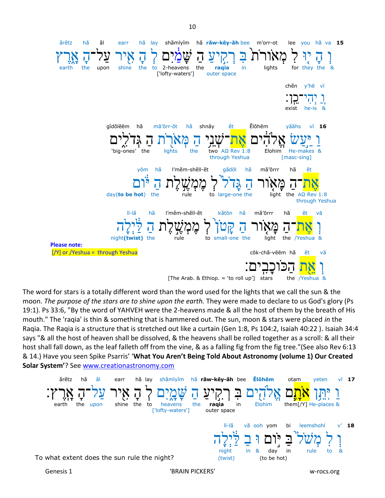shămīyim hă răw-kēy-ăh bee m'orr-ot ărětz hă ăl earr hă lay lee you hă va 15 earth the upon shine the to 2-heavens the ragia in lights for they the ['lofty-waters'] outer space chěn y'hē vī exist he-is **Ĕlōhēm** văăhs aĭdōlēēm hă mā'ōrr-ōt hă shnāv ět  $v\bar{v}$  16 'big-ones' the lights the  $A\Omega$  Rev 1:8 Elohim He-makes & two through Yeshua [masc-sing] yōm hă l'měm-shěll-ět gădōl hă mă'ōrrr hă ĕt light the  $A\Omega$  Rev 1:8 day(to be hot) the to large-one the through Yeshua lī-lă l'měm-shěll-ět hă mă'ōrrr hă hă kătōn ĕt vā night(twist)  $tha$ ماری to small-one the light the Yeshua & **Please note:** [/Y] or /Yeshua = through Yeshua cōk-chă-vēēm hă ĕt vā [The Arab. & Ethiop. = 'to roll up'] stars the /Yeshua &

The word for stars is a totally different word than the word used for the lights that we call the sun & the moon. The purpose of the stars are to shine upon the earth. They were made to declare to us God's glory (Ps 19:1). Ps 33:6, "By the word of YAHVEH were the 2-heavens made & all the host of them by the breath of His mouth." The 'ragia' is thin & something that is hammered out. The sun, moon & stars were placed in the Raqia. The Raqia is a structure that is stretched out like a curtain (Gen 1:8, Ps 104:2, Isaiah 40:22). Isaiah 34:4 says "& all the host of heaven shall be dissolved, & the heavens shall be rolled together as a scroll: & all their host shall fall down, as the leaf falleth off from the vine, & as a falling fig from the fig tree."(See also Rev 6:13 & 14.) Have you seen Spike Psarris' 'What You Aren't Being Told About Astronomy (volume 1) Our Created Solar System'? See www.creationastronomy.com

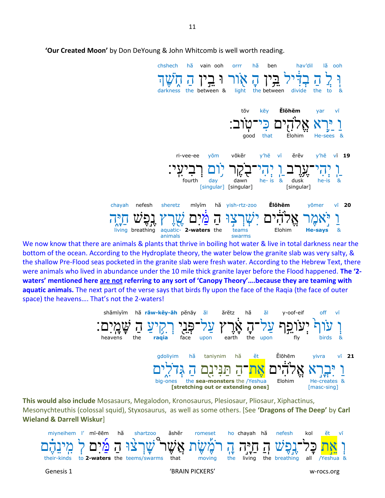

'Our Created Moon' by Don DeYoung & John Whitcomb is well worth reading.

We now know that there are animals & plants that thrive in boiling hot water & live in total darkness near the bottom of the ocean. According to the Hydroplate theory, the water below the granite slab was very salty, & the shallow Pre-Flood seas pocketed in the granite slab were fresh water. According to the Hebrew Text, there were animals who lived in abundance under the 10 mile thick granite layer before the Flood happened. The '2waters' mentioned here are not referring to any sort of 'Canopy Theory'....because they are teaming with aquatic animals. The next part of the verse says that birds fly upon the face of the Raqia (the face of outer space) the heavens.... That's not the 2-waters!



This would also include Mosasaurs, Megalodon, Kronosaurus, Plesiosaur, Pliosaur, Xiphactinus, Mesonychteuthis (colossal squid), Styxosaurus, as well as some others. [See 'Dragons of The Deep' by Carl **Wieland & Darrell Wiskur]** 

|           |                 |  |  | mivneihem l' mī-ēēm hă shartzoo                                                                                                                                                                              | ăshĕr | romeset ho chayah hă |  |            | nefesh kol ět vī |  |  |  |
|-----------|-----------------|--|--|--------------------------------------------------------------------------------------------------------------------------------------------------------------------------------------------------------------|-------|----------------------|--|------------|------------------|--|--|--|
|           |                 |  |  | וְ <mark>אֵת</mark> כָּל־גָפֶשׁ הַ חַיָּה זֶן רֹמֶשֶׁת אֲשֶׁר <i>"טֲ</i> רָצּוּ הַ מַּׁיִם לְ מִינֵהֶם<br>their-kinds to <b>2-waters</b> the teems/swarms that moving the living the breathing all /Yeshua & |       |                      |  |            |                  |  |  |  |
| Genesis 1 | 'BRAIN PICKERS' |  |  |                                                                                                                                                                                                              |       |                      |  | w-rocs.org |                  |  |  |  |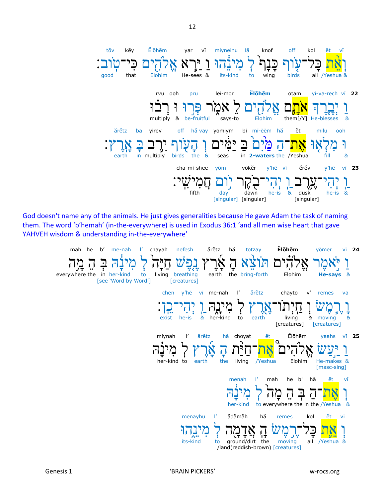

God doesn't name any of the animals. He just gives generalities because He gave Adam the task of naming them. The word 'b'hemah' (in-the-everywhere) is used in Exodus 36:1 'and all men wise heart that gave YAHVEH wisdom & understanding in-the-everywhere'

mah he b' me-nah ărětz **Ĕlōhēm**  $\mathbf{P}$ chayah nefesh hă totzay yōmer  $v\bar{v}$  24  $\mathbf{r}$ v. τ everywhere the in her-kind  $\alpha$ Elohim living breathing earth the bring-forth to **He-says** [see 'Word by Word'] [creatures]  $\mathsf{I}'$ ărĕtz chayto chen y'hē vī me-nah  $V'$ remes va her-kind exist he-is  $\boldsymbol{\alpha}$ to earth living & moving  $\mathbf{R}$ [creatures] [creatures] ĕt Ĕlōhēm  $\mathsf{I}'$ ărětz hă choyat yaahs vī 25 miynah ΙJ He-makes & living the /Yeshua Elohim her-kind to earth [masc-sing] menah  $\mathbf{P}$ mah he  $b'$ hă ĕt vī 1 I S J) ΙJ ΙJ to everywhere the in the /Yeshua  $\mathbf{8}$ her-kind  $\mathbf{r}$ ădămăh menayhu hă remes kol ĕt vī  $\frac{1}{2}$  $\frac{1}{2}$ 1 I I) its-kind to ground/dirt the moving all /Yeshua & /land(reddish-brown) [creatures]

'BRAIN PICKERS'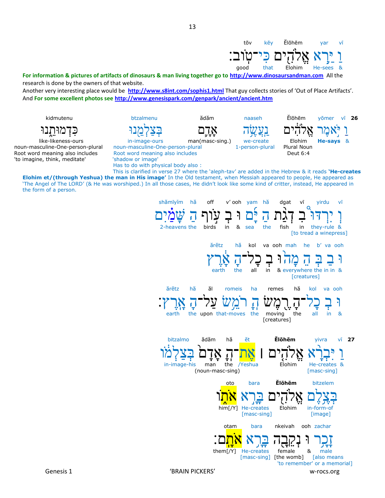

Genesis 1

'BRAIN PICKERS'

otam

them[ $/Y$ ]

bara

He-creates

nkeivah

female

[masc-sing] [the womb]

w-rocs.org

male

[also means

ooh zachar

'to remember' or a memorial]

&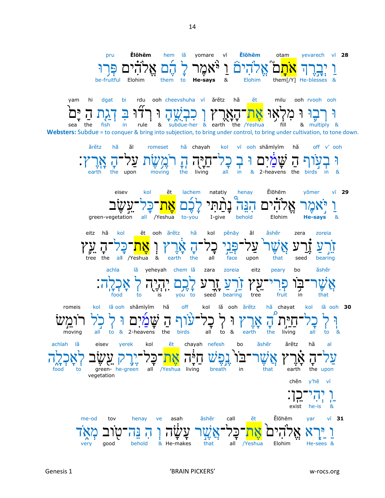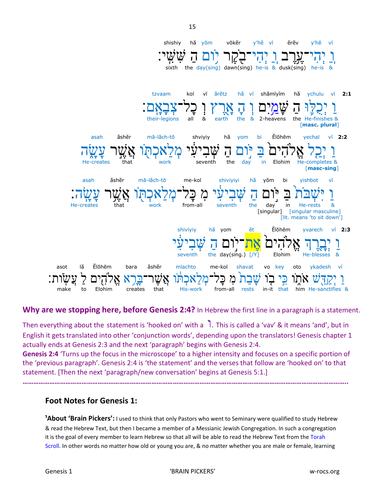

Why are we stopping here, before Genesis 2:4? In Hebrew the first line in a paragraph is a statement.

Then everything about the statement is 'hooked on' with a  $\overline{ }$ . This is called a 'vav' & it means 'and', but in English it gets translated into other 'conjunction words', depending upon the translators! Genesis chapter 1 actually ends at Genesis 2:3 and the next 'paragraph' begins with Genesis 2:4.

Genesis 2:4 'Turns up the focus in the microscope' to a higher intensity and focuses on a specific portion of the 'previous paragraph'. Genesis 2:4 is 'the statement' and the verses that follow are 'hooked on' to that statement. [Then the next 'paragraph/new conversation' begins at Genesis 5:1.]

## **Foot Notes for Genesis 1:**

**1About 'Brain Pickers':** I used to think that only Pastors who went to Seminary were qualified to study Hebrew & read the Hebrew Text, but then I became a member of a Messianic Jewish Congregation. In such a congregation it is the goal of every member to learn Hebrew so that all will be able to read the Hebrew Text from the Torah Scroll. In other words no matter how old or young you are, & no matter whether you are male or female, learning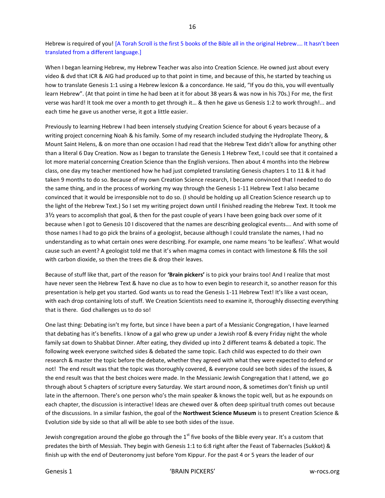Hebrew is required of you! [A Torah Scroll is the first 5 books of the Bible all in the original Hebrew…. It hasn't been translated from a different language.]

When I began learning Hebrew, my Hebrew Teacher was also into Creation Science. He owned just about every video & dvd that ICR & AIG had produced up to that point in time, and because of this, he started by teaching us how to translate Genesis 1:1 using a Hebrew lexicon & a concordance. He said, "If you do this, you will eventually learn Hebrew". (At that point in time he had been at it for about 38 years & was now in his 70s.) For me, the first verse was hard! It took me over a month to get through it… & then he gave us Genesis 1:2 to work through!... and each time he gave us another verse, it got a little easier.

Previously to learning Hebrew I had been intensely studying Creation Science for about 6 years because of a writing project concerning Noah & his family. Some of my research included studying the Hydroplate Theory, & Mount Saint Helens, & on more than one occasion I had read that the Hebrew Text didn't allow for anything other than a literal 6 Day Creation. Now as I began to translate the Genesis 1 Hebrew Text, I could see that it contained a lot more material concerning Creation Science than the English versions. Then about 4 months into the Hebrew class, one day my teacher mentioned how he had just completed translating Genesis chapters 1 to 11 & it had taken 9 months to do so. Because of my own Creation Science research, I became convinced that I needed to do the same thing, and in the process of working my way through the Genesis 1-11 Hebrew Text I also became convinced that it would be irresponsible not to do so. (I should be holding up all Creation Science research up to the light of the Hebrew Text.) So I set my writing project down until I finished reading the Hebrew Text. It took me 3½ years to accomplish that goal, & then for the past couple of years I have been going back over some of it because when I got to Genesis 10 I discovered that the names are describing geological events…. And with some of those names I had to go pick the brains of a geologist, because although I could translate the names, I had no understanding as to what certain ones were describing. For example, one name means 'to be leafless'. What would cause such an event? A geologist told me that it's when magma comes in contact with limestone & fills the soil with carbon dioxide, so then the trees die & drop their leaves.

Because of stuff like that, part of the reason for **'Brain pickers'** is to pick your brains too! And I realize that most have never seen the Hebrew Text & have no clue as to how to even begin to research it, so another reason for this presentation is help get you started. God wants us to read the Genesis 1-11 Hebrew Text! It's like a vast ocean, with each drop containing lots of stuff. We Creation Scientists need to examine it, thoroughly dissecting everything that is there. God challenges us to do so!

One last thing: Debating isn't my forte, but since I have been a part of a Messianic Congregation, I have learned that debating has it's benefits. I know of a gal who grew up under a Jewish roof & every Friday night the whole family sat down to Shabbat Dinner. After eating, they divided up into 2 different teams & debated a topic. The following week everyone switched sides & debated the same topic. Each child was expected to do their own research & master the topic before the debate, whether they agreed with what they were expected to defend or not! The end result was that the topic was thoroughly covered, & everyone could see both sides of the issues, & the end result was that the best choices were made. In the Messianic Jewish Congregation that I attend, we go through about 5 chapters of scripture every Saturday. We start around noon, & sometimes don't finish up until late in the afternoon. There's one person who's the main speaker & knows the topic well, but as he expounds on each chapter, the discussion is interactive! Ideas are chewed over & often deep spiritual truth comes out because of the discussions. In a similar fashion, the goal of the **Northwest Science Museum** is to present Creation Science & Evolution side by side so that all will be able to see both sides of the issue.

Jewish congregation around the globe go through the  $1<sup>st</sup>$  five books of the Bible every year. It's a custom that predates the birth of Messiah. They begin with Genesis 1:1 to 6:8 right after the Feast of Tabernacles (Sukkot) & finish up with the end of Deuteronomy just before Yom Kippur. For the past 4 or 5 years the leader of our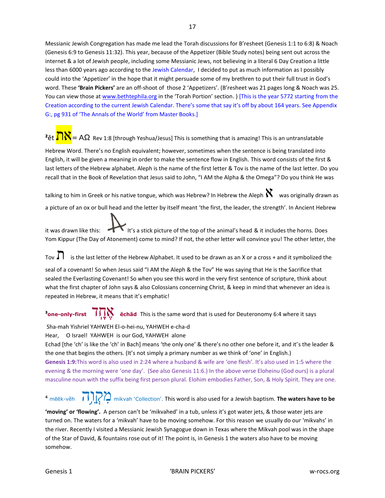Messianic Jewish Congregation has made me lead the Torah discussions for B'resheet (Genesis 1:1 to 6:8) & Noach (Genesis 6:9 to Genesis 11:32). This year, because of the Appetizer (Bible Study notes) being sent out across the internet & a lot of Jewish people, including some Messianic Jews, not believing in a literal 6 Day Creation a little less than 6000 years ago according to the Jewish Calendar, I decided to put as much information as I possibly could into the 'Appetizer' in the hope that it might persuade some of my brethren to put their full trust in God's word. These **'Brain Pickers'** are an off-shoot of those 2 'Appetizers'. (B'resheet was 21 pages long & Noach was 25. You can view those at [www.bethtephila.org](http://www.bethtephila.org/) in the 'Torah Portion' section. ) [This is the year 5772 starting from the Creation according to the current Jewish Calendar. There's some that say it's off by about 164 years. See Appendix G:, pg 931 of 'The Annals of the World' from Master Books.]

# <sup>2</sup>ět **λλ** = AΩ Rev 1:8 [through Yeshua/Jesus] This is something that is amazing! This is an untranslatable

Hebrew Word. There's no English equivalent; however, sometimes when the sentence is being translated into English, it will be given a meaning in order to make the sentence flow in English. This word consists of the first & last letters of the Hebrew alphabet. Aleph is the name of the first letter & Tov is the name of the last letter. Do you recall that in the Book of Revelation that Jesus said to John, "I AM the Alpha & the Omega"? Do you think He was

talking to him in Greek or his native tongue, which was Hebrew? In Hebrew the Aleph  $\aleph$  was originally drawn as a picture of an ox or bull head and the letter by itself meant 'the first, the leader, the strength'. In Ancient Hebrew

it was drawn like this: It's a stick picture of the top of the animal's head & it includes the horns. Does Yom Kippur (The Day of Atonement) come to mind? If not, the other letter will convince you! The other letter, the

Tov  $\prod$  is the last letter of the Hebrew Alphabet. It used to be drawn as an X or a cross + and it symbolized the

seal of a covenant! So when Jesus said "I AM the Aleph & the Tov" He was saying that He is the Sacrifice that sealed the Everlasting Covenant! So when you see this word in the very first sentence of scripture, think about what the first chapter of John says & also Colossians concerning Christ, & keep in mind that whenever an idea is repeated in Hebrew, it means that it's emphatic!

# **<sup>3</sup>one-only-first**  $\overline{J} \overline{J} \overline{N}$  **ĕchăd** This is the same word that is used for Deuteronomy 6:4 where it says

#### Sha-mah Yishriel YAHWEH El-o-hei-nu, YAHWEH e-cha-d Hear, O Israel! YAHWEH is our God, YAHWEH alone

Echad [the 'ch' is like the 'ch' in Bach] means 'the only one' & there's no other one before it, and it's the leader & the one that begins the others. (It's not simply a primary number as we think of 'one' in English.) **Genesis 1:9:**This word is also used in 2:24 where a husband & wife are 'one flesh'. It's also used in 1:5 where the evening & the morning were 'one day'. (See also Genesis 11:6.) In the above verse Eloheinu (God ours) is a plural masculine noun with the suffix being first person plural. Elohim embodies Father, Son, & Holy Spirit. They are one.

# <sup>⁴</sup> mēēk-vĕh וה ק ֵ֥ מִ mikvah 'Collection'. This word is also used for a Jewish baptism. **The waters have to be**

**'moving' or 'flowing'.** A person can't be 'mikvahed' in a tub, unless it's got water jets, & those water jets are turned on. The waters for a 'mikvah' have to be moving somehow. For this reason we usually do our 'mikvahs' in the river. Recently I visited a Messianic Jewish Synagogue down in Texas where the Mikvah pool was in the shape of the Star of David, & fountains rose out of it! The point is, in Genesis 1 the waters also have to be moving somehow.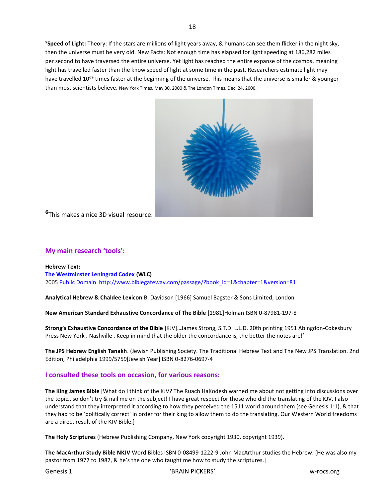**⁵Speed of Light:** Theory: If the stars are millions of light years away, & humans can see them flicker in the night sky, then the universe must be very old. New Facts: Not enough time has elapsed for light speeding at 186,282 miles per second to have traversed the entire universe. Yet light has reached the entire expanse of the cosmos, meaning light has travelled faster than the know speed of light at some time in the past. Researchers estimate light may have travelled 10<sup>69</sup> times faster at the beginning of the universe. This means that the universe is smaller & younger than most scientists believe. New York Times. May 30, 2000 & The London Times, Dec. 24, 2000.



**⁶**This makes a nice 3D visual resource:

#### **My main research 'tools':**

**Hebrew Text: The Westminster Leningrad Codex (WLC)** 2005 Public Domain [http://www.biblegateway.com/passage/?book\\_id=1&chapter=1&version=81](http://www.biblegateway.com/passage/?book_id=1&chapter=1&version=81)

**Analytical Hebrew & Chaldee Lexicon** B. Davidson [1966] Samuel Bagster & Sons Limited, London

**New American Standard Exhaustive Concordance of The Bible** [1981]Holman ISBN 0-87981-197-8

**Strong's Exhaustive Concordance of the Bible** [KJV]…James Strong, S.T.D. L.L.D. 20th printing 1951 Abingdon-Cokesbury Press New York . Nashville . Keep in mind that the older the concordance is, the better the notes are!'

**The JPS Hebrew English Tanakh**. (Jewish Publishing Society. The Traditional Hebrew Text and The New JPS Translation. 2nd Edition, Philadelphia 1999/5759[Jewish Year] ISBN 0-8276-0697-4

### **I consulted these tools on occasion, for various reasons:**

**The King James Bible** [What do I think of the KJV? The Ruach HaKodesh warned me about not getting into discussions over the topic., so don't try & nail me on the subject! I have great respect for those who did the translating of the KJV. I also understand that they interpreted it according to how they perceived the 1511 world around them (see Genesis 1:1), & that they had to be 'politically correct' in order for their king to allow them to do the translating. Our Western World freedoms are a direct result of the KJV Bible.]

**The Holy Scriptures** (Hebrew Publishing Company, New York copyright 1930, copyright 1939).

**The MacArthur Study Bible NKJV** Word Bibles ISBN 0-08499-1222-9 John MacArthur studies the Hebrew. [He was also my pastor from 1977 to 1987, & he's the one who taught me how to study the scriptures.]

Genesis 1 No. 2012 **CERAIN PICKERS'** We also a strategy and the set of the set of the set of the set of the set of the set of the set of the set of the set of the set of the set of the set of the set of the set of the set